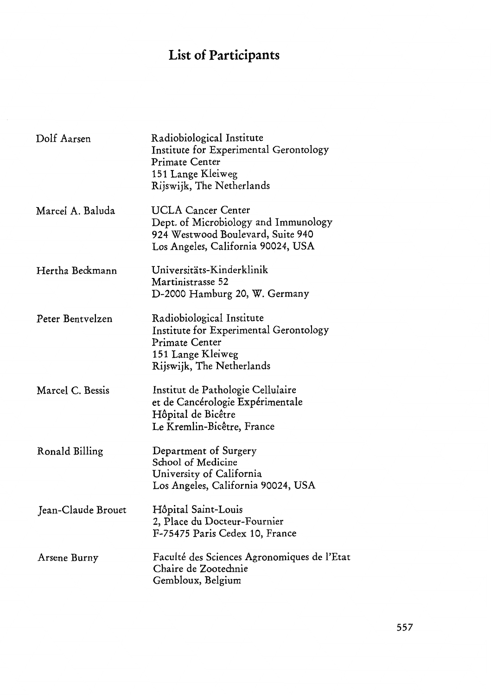## **List of Participants**

| Dolf Aarsen        | Radiobiological Institute<br>Institute for Experimental Gerontology<br><b>Primate Center</b><br>151 Lange Kleiweg<br>Rijswijk, The Netherlands |
|--------------------|------------------------------------------------------------------------------------------------------------------------------------------------|
| Marcel A. Baluda   | <b>UCLA Cancer Center</b><br>Dept. of Microbiology and Immunology<br>924 Westwood Boulevard, Suite 940<br>Los Angeles, California 90024, USA   |
| Hertha Beckmann    | Universitäts-Kinderklinik<br>Martinistrasse 52<br>D-2000 Hamburg 20, W. Germany                                                                |
| Peter Bentyelzen   | Radiobiological Institute<br>Institute for Experimental Gerontology<br><b>Primate Center</b><br>151 Lange Kleiweg<br>Rijswijk, The Netherlands |
| Marcel C. Bessis   | Institut de Pathologie Cellulaire<br>et de Cancérologie Expérimentale<br>Hôpital de Bicêtre<br>Le Kremlin-Bicêtre, France                      |
| Ronald Billing     | Department of Surgery<br>School of Medicine<br>University of California<br>Los Angeles, California 90024, USA                                  |
| Jean-Claude Brouet | Hôpital Saint-Louis<br>2, Place du Docteur-Fournier<br>F-75475 Paris Cedex 10, France                                                          |
| Arsene Burny       | Faculté des Sciences Agronomiques de l'Etat<br>Chaire de Zootechnie<br>Gembloux, Belgium                                                       |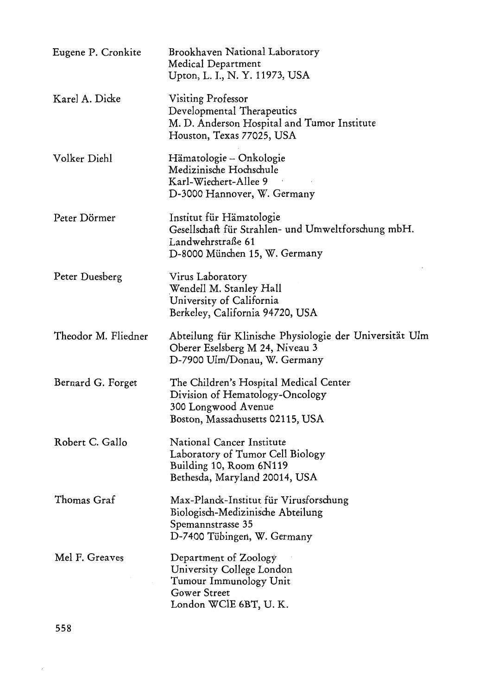| Eugene P. Cronkite  | Brookhaven National Laboratory<br>Medical Department<br>Upton, L. I., N. Y. 11973, USA                                                |
|---------------------|---------------------------------------------------------------------------------------------------------------------------------------|
| Karel A. Dicke      | Visiting Professor<br>Developmental Therapeutics<br>M. D. Anderson Hospital and Tumor Institute<br>Houston, Texas 77025, USA          |
| Volker Diehl        | Hämatologie – Onkologie<br>Medizinische Hochschule<br>Karl-Wiechert-Allee 9<br>D-3000 Hannover, W. Germany                            |
| Peter Dörmer        | Institut für Hämatologie<br>Gesellschaft für Strahlen- und Umweltforschung mbH.<br>Landwehrstraße 61<br>D-8000 München 15, W. Germany |
| Peter Duesberg      | Virus Laboratory<br>Wendell M. Stanley Hall<br>University of California<br>Berkeley, California 94720, USA                            |
| Theodor M. Fliedner | Abteilung für Klinische Physiologie der Universität Ulm<br>Oberer Eselsberg M 24, Niveau 3<br>D-7900 Ulm/Donau, W. Germany            |
| Bernard G. Forget   | The Children's Hospital Medical Center<br>Division of Hematology-Oncology<br>300 Longwood Avenue<br>Boston, Massachusetts 02115, USA  |
| Robert C. Gallo     | National Cancer Institute<br>Laboratory of Tumor Cell Biology<br>Building 10, Room 6N119<br>Bethesda, Maryland 20014, USA             |
| Thomas Graf         | Max-Planck-Institut für Virusforschung<br>Biologisch-Medizinische Abteilung<br>Spemannstrasse 35<br>D-7400 Tübingen, W. Germany       |
| Mel F. Greaves      | Department of Zoology<br>University College London<br>Tumour Immunology Unit<br><b>Gower Street</b><br>London WClE 6BT, U.K.          |

558

 $\bar{r}$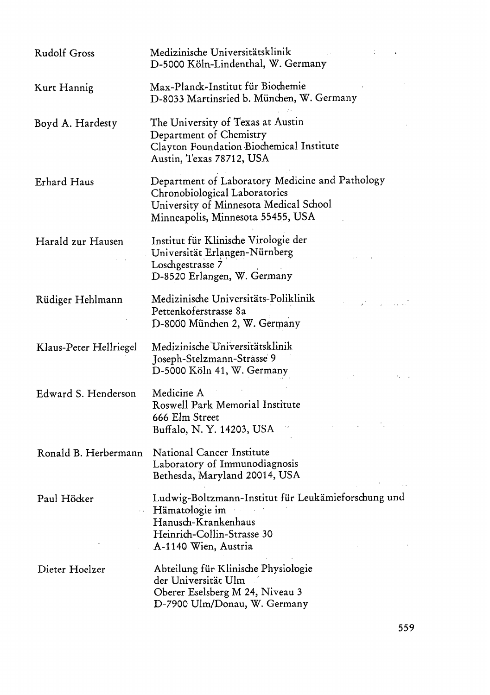| <b>Rudolf Gross</b>    | Medizinische Universitätsklinik<br>D-5000 Köln-Lindenthal, W. Germany                                                                                           |
|------------------------|-----------------------------------------------------------------------------------------------------------------------------------------------------------------|
| Kurt Hannig            | Max-Planck-Institut für Biochemie<br>D-8033 Martinsried b. München, W. Germany                                                                                  |
| Boyd A. Hardesty       | The University of Texas at Austin<br>Department of Chemistry<br>Clayton Foundation Biochemical Institute<br>Austin, Texas 78712, USA                            |
| Erhard Haus            | Department of Laboratory Medicine and Pathology<br>Chronobiological Laboratories<br>University of Minnesota Medical School<br>Minneapolis, Minnesota 55455, USA |
| Harald zur Hausen      | Institut für Klinische Virologie der<br>Universität Erlangen-Nürnberg<br>Loschgestrasse 7<br>D-8520 Erlangen, W. Germany                                        |
| Rüdiger Hehlmann       | Medizinische Universitäts-Poliklinik<br>Pettenkoferstrasse 8a<br>D-8000 München 2, W. Germany                                                                   |
| Klaus-Peter Hellriegel | Medizinische Universitätsklinik<br>Joseph-Stelzmann-Strasse 9<br>D-5000 Köln 41, W. Germany                                                                     |
| Edward S. Henderson    | Medicine A<br>Roswell Park Memorial Institute<br>666 Elm Street<br>Buffalo, N.Y. 14203, USA                                                                     |
| Ronald B. Herbermann   | National Cancer Institute<br>Laboratory of Immunodiagnosis<br>Bethesda, Maryland 20014, USA                                                                     |
| Paul Höcker            | Ludwig-Boltzmann-Institut für Leukämieforschung und<br>Hämatologie im<br>Hanusch-Krankenhaus<br>Heinrich-Collin-Strasse 30<br>A-1140 Wien, Austria              |
| Dieter Hoelzer         | Abteilung für Klinische Physiologie<br>der Universität Ulm<br>Oberer Eselsberg M 24, Niveau 3<br>D-7900 Ulm/Donau, W. Germany                                   |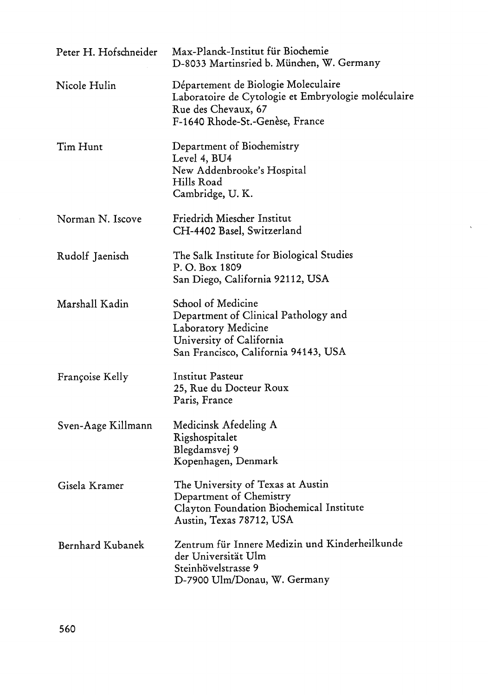| Peter H. Hofschneider | Max-Planck-Institut für Biochemie<br>D-8033 Martinsried b. München, W. Germany                                                                        |
|-----------------------|-------------------------------------------------------------------------------------------------------------------------------------------------------|
| Nicole Hulin          | Département de Biologie Moleculaire<br>Laboratoire de Cytologie et Embryologie moléculaire<br>Rue des Chevaux, 67<br>F-1640 Rhode-St.-Genèse, France  |
| Tim Hunt              | Department of Biochemistry<br>Level 4, BU4<br>New Addenbrooke's Hospital<br>Hills Road<br>Cambridge, U.K.                                             |
| Norman N. Iscove      | Friedrich Miescher Institut<br>CH-4402 Basel, Switzerland                                                                                             |
| Rudolf Jaenisch       | The Salk Institute for Biological Studies<br>P.O. Box 1809<br>San Diego, California 92112, USA                                                        |
| Marshall Kadin        | School of Medicine<br>Department of Clinical Pathology and<br>Laboratory Medicine<br>University of California<br>San Francisco, California 94143, USA |
| Françoise Kelly       | Institut Pasteur<br>25, Rue du Docteur Roux<br>Paris, France                                                                                          |
| Sven-Aage Killmann    | Medicinsk Afedeling A<br>Rigshospitalet<br>Blegdamsvej 9<br>Kopenhagen, Denmark                                                                       |
| Gisela Kramer         | The University of Texas at Austin<br>Department of Chemistry<br>Clayton Foundation Biochemical Institute<br>Austin, Texas 78712, USA                  |
| Bernhard Kubanek      | Zentrum für Innere Medizin und Kinderheilkunde<br>der Universität Ulm<br>Steinhövelstrasse 9<br>D-7900 Ulm/Donau, W. Germany                          |

 $\hat{\mathbf{v}}$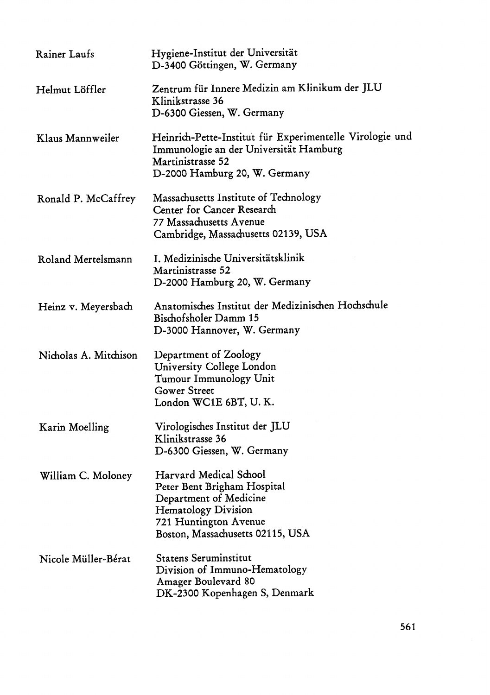| Rainer Laufs          | Hygiene-Institut der Universität<br>D-3400 Göttingen, W. Germany                                                                                                           |
|-----------------------|----------------------------------------------------------------------------------------------------------------------------------------------------------------------------|
| Helmut Löffler        | Zentrum für Innere Medizin am Klinikum der JLU<br>Klinikstrasse 36<br>D-6300 Giessen, W. Germany                                                                           |
| Klaus Mannweiler      | Heinrich-Pette-Institut für Experimentelle Virologie und<br>Immunologie an der Universität Hamburg<br>Martinistrasse 52<br>D-2000 Hamburg 20, W. Germany                   |
| Ronald P. McCaffrey   | Massachusetts Institute of Technology<br>Center for Cancer Research<br>77 Massachusetts Avenue<br>Cambridge, Massachusetts 02139, USA                                      |
| Roland Mertelsmann    | I. Medizinische Universitätsklinik<br>Martinistrasse 52<br>D-2000 Hamburg 20, W. Germany                                                                                   |
| Heinz v. Meyersbach   | Anatomisches Institut der Medizinischen Hochschule<br>Bischofsholer Damm 15<br>D-3000 Hannover, W. Germany                                                                 |
| Nicholas A. Mitchison | Department of Zoology<br>University College London<br>Tumour Immunology Unit<br><b>Gower Street</b><br>London WC1E 6BT, U.K.                                               |
| Karin Moelling        | Virologisches Institut der JLU<br>Klinikstrasse 36<br>D-6300 Giessen, W. Germany                                                                                           |
| William C. Moloney    | Harvard Medical School<br>Peter Bent Brigham Hospital<br>Department of Medicine<br><b>Hematology Division</b><br>721 Huntington Avenue<br>Boston, Massachusetts 02115, USA |
| Nicole Müller-Bérat   | <b>Statens Seruminstitut</b><br>Division of Immuno-Hematology<br>Amager Boulevard 80<br>DK-2300 Kopenhagen S, Denmark                                                      |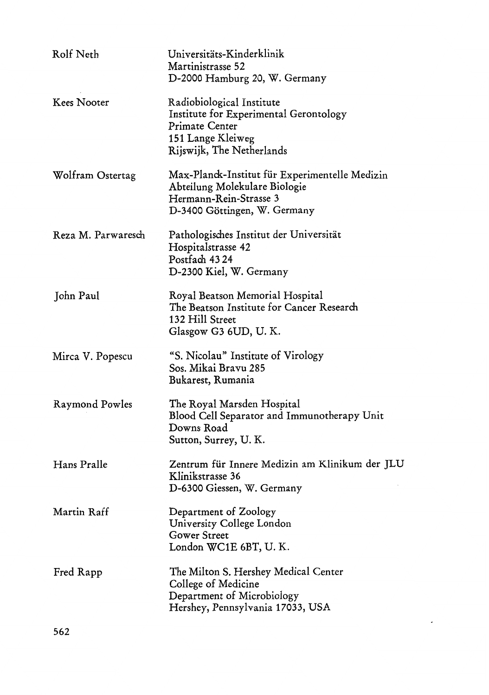| Rolf Neth          | Universitäts-Kinderklinik<br>Martinistrasse 52<br>D-2000 Hamburg 20, W. Germany                                                           |
|--------------------|-------------------------------------------------------------------------------------------------------------------------------------------|
| <b>Kees Nooter</b> | Radiobiological Institute<br>Institute for Experimental Gerontology<br>Primate Center<br>151 Lange Kleiweg<br>Rijswijk, The Netherlands   |
| Wolfram Ostertag   | Max-Planck-Institut für Experimentelle Medizin<br>Abteilung Molekulare Biologie<br>Hermann-Rein-Strasse 3<br>D-3400 Göttingen, W. Germany |
| Reza M. Parwaresch | Pathologisches Institut der Universität<br>Hospitalstrasse 42<br>Postfach 4324<br>D-2300 Kiel, W. Germany                                 |
| John Paul          | Royal Beatson Memorial Hospital<br>The Beatson Institute for Cancer Research<br>132 Hill Street<br>Glasgow G3 6UD, U.K.                   |
| Mirca V. Popescu   | "S. Nicolau" Institute of Virology<br>Sos. Mikai Bravu 285<br>Bukarest, Rumania                                                           |
| Raymond Powles     | The Royal Marsden Hospital<br>Blood Cell Separator and Immunotherapy Unit<br>Downs Road<br>Sutton, Surrey, U.K.                           |
| Hans Pralle        | Zentrum für Innere Medizin am Klinikum der JLU<br>Klinikstrasse 36<br>D-6300 Giessen, W. Germany                                          |
| Martin Raff        | Department of Zoology<br>University College London<br><b>Gower Street</b><br>London WC1E 6BT, U.K.                                        |
| Fred Rapp          | The Milton S. Hershey Medical Center<br>College of Medicine<br>Department of Microbiology<br>Hershey, Pennsylvania 17033, USA             |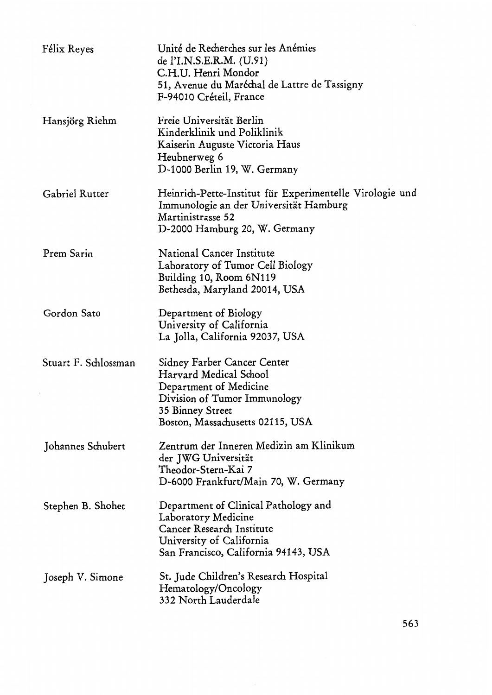| Félix Reyes          | Unité de Recherches sur les Anémies<br>de l'I.N.S.E.R.M. (U.91)<br>C.H.U. Henri Mondor<br>51, Avenue du Maréchal de Lattre de Tassigny<br>F-94010 Créteil, France       |
|----------------------|-------------------------------------------------------------------------------------------------------------------------------------------------------------------------|
| Hansjörg Riehm       | Freie Universität Berlin<br>Kinderklinik und Poliklinik<br>Kaiserin Auguste Victoria Haus<br>Heubnerweg 6<br>D-1000 Berlin 19, W. Germany                               |
| Gabriel Rutter       | Heinrich-Pette-Institut für Experimentelle Virologie und<br>Immunologie an der Universität Hamburg<br>Martinistrasse 52<br>D-2000 Hamburg 20, W. Germany                |
| Prem Sarin           | National Cancer Institute<br>Laboratory of Tumor Cell Biology<br>Building 10, Room 6N119<br>Bethesda, Maryland 20014, USA                                               |
| Gordon Sato          | Department of Biology<br>University of California<br>La Jolla, California 92037, USA                                                                                    |
| Stuart F. Schlossman | Sidney Farber Cancer Center<br>Harvard Medical School<br>Department of Medicine<br>Division of Tumor Immunology<br>35 Binney Street<br>Boston, Massachusetts 02115, USA |
| Johannes Schubert    | Zentrum der Inneren Medizin am Klinikum<br>der JWG Universität<br>Theodor-Stern-Kai 7<br>D-6000 Frankfurt/Main 70, W. Germany                                           |
| Stephen B. Shohet    | Department of Clinical Pathology and<br>Laboratory Medicine<br>Cancer Research Institute<br>University of California<br>San Francisco, California 94143, USA            |
| Joseph V. Simone     | St. Jude Children's Research Hospital<br>Hematology/Oncology<br>332 North Lauderdale                                                                                    |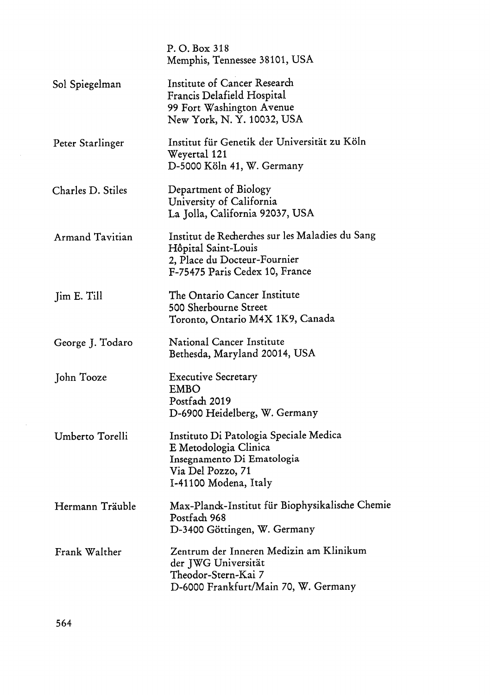|                        |             | P. O. Box 318<br>Memphis, Tennessee 38101, USA                                                                                              |  |
|------------------------|-------------|---------------------------------------------------------------------------------------------------------------------------------------------|--|
| Sol Spiegelman         |             | Institute of Cancer Research<br>Francis Delafield Hospital<br>99 Fort Washington Avenue<br>New York, N.Y. 10032, USA                        |  |
| Peter Starlinger       |             | Institut für Genetik der Universität zu Köln<br>Weyertal 121<br>D-5000 Köln 41, W. Germany                                                  |  |
| Charles D. Stiles      |             | Department of Biology<br>University of California<br>La Jolla, California 92037, USA                                                        |  |
| <b>Armand Tavitian</b> |             | Institut de Recherches sur les Maladies du Sang<br>Hôpital Saint-Louis<br>2, Place du Docteur-Fournier<br>F-75475 Paris Cedex 10, France    |  |
| Jim E. Till            |             | The Ontario Cancer Institute<br>500 Sherbourne Street<br>Toronto, Ontario M4X 1K9, Canada                                                   |  |
| George J. Todaro       |             | National Cancer Institute<br>Bethesda, Maryland 20014, USA                                                                                  |  |
| John Tooze             | <b>EMBO</b> | <b>Executive Secretary</b><br>Postfach 2019<br>D-6900 Heidelberg, W. Germany                                                                |  |
| Umberto Torelli        |             | Instituto Di Patologia Speciale Medica<br>E Metodologia Clinica<br>Insegnamento Di Ematologia<br>Via Del Pozzo, 71<br>I-41100 Modena, Italy |  |
| Hermann Träuble        |             | Max-Planck-Institut für Biophysikalische Chemie<br>Postfach 968<br>D-3400 Göttingen, W. Germany                                             |  |
| Frank Walther          |             | Zentrum der Inneren Medizin am Klinikum<br>der JWG Universität<br>Theodor-Stern-Kai 7<br>D-6000 Frankfurt/Main 70, W. Germany               |  |

 $\sim 30$